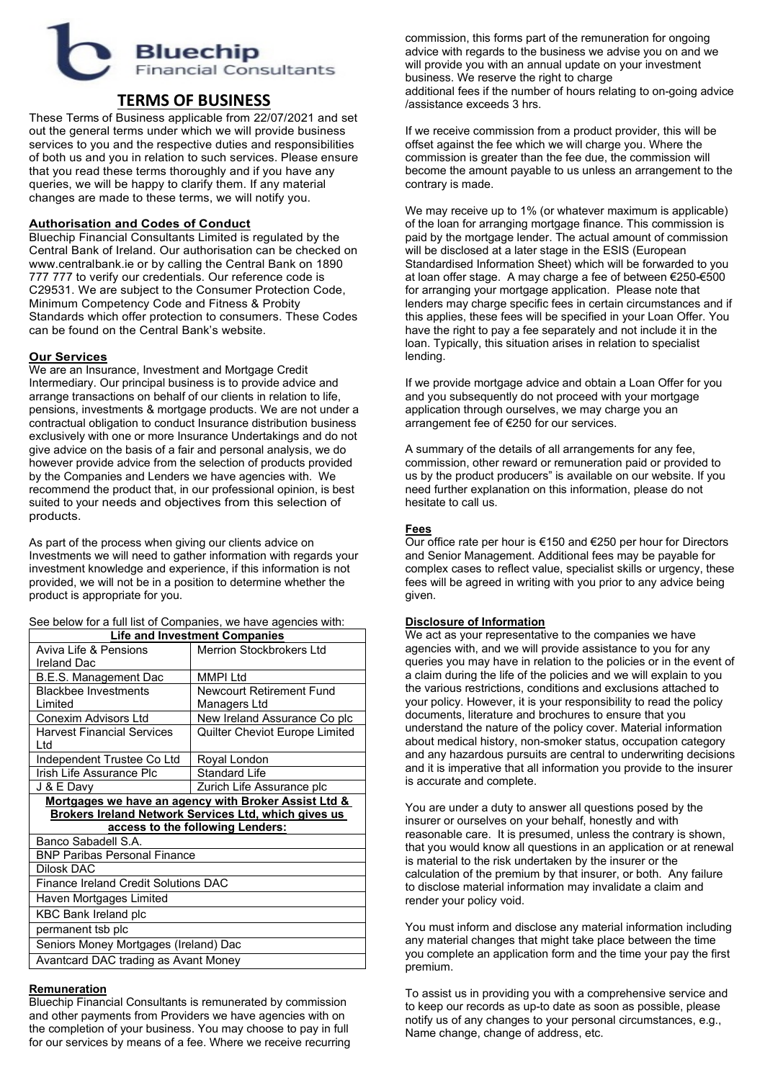# **Bluechip Financial Consultants**

# **TERMS OF BUSINESS**

These Terms of Business applicable from 22/07/2021 and set out the general terms under which we will provide business services to you and the respective duties and responsibilities of both us and you in relation to such services. Please ensure that you read these terms thoroughly and if you have any queries, we will be happy to clarify them. If any material changes are made to these terms, we will notify you.

## **Authorisation and Codes of Conduct**

Bluechip Financial Consultants Limited is regulated by the Central Bank of Ireland. Our authorisation can be checked on www.centralbank.ie or by calling the Central Bank on 1890 777 777 to verify our credentials. Our reference code is C29531. We are subject to the Consumer Protection Code, Minimum Competency Code and Fitness & Probity Standards which offer protection to consumers. These Codes can be found on the Central Bank's website.

## **Our Services**

We are an Insurance, Investment and Mortgage Credit Intermediary. Our principal business is to provide advice and arrange transactions on behalf of our clients in relation to life, pensions, investments & mortgage products. We are not under a contractual obligation to conduct Insurance distribution business exclusively with one or more Insurance Undertakings and do not give advice on the basis of a fair and personal analysis, we do however provide advice from the selection of products provided by the Companies and Lenders we have agencies with. We recommend the product that, in our professional opinion, is best suited to your needs and objectives from this selection of products.

As part of the process when giving our clients advice on Investments we will need to gather information with regards your investment knowledge and experience, if this information is not provided, we will not be in a position to determine whether the product is appropriate for you.

|  | See below for a full list of Companies, we have agencies with: |
|--|----------------------------------------------------------------|
|--|----------------------------------------------------------------|

| <b>Life and Investment Companies</b>                 |                                 |
|------------------------------------------------------|---------------------------------|
| Aviva Life & Pensions                                | Merrion Stockbrokers I td       |
| <b>Ireland Dac</b>                                   |                                 |
| B.E.S. Management Dac                                | <b>MMPI Ltd</b>                 |
| <b>Blackbee Investments</b>                          | <b>Newcourt Retirement Fund</b> |
| Limited                                              | Managers Ltd                    |
| Conexim Advisors Ltd                                 | New Ireland Assurance Co plc    |
| <b>Harvest Financial Services</b>                    | Quilter Cheviot Europe Limited  |
| l td                                                 |                                 |
| Independent Trustee Co Ltd                           | Royal London                    |
| Irish Life Assurance Plc                             | <b>Standard Life</b>            |
| J & E Davy                                           | Zurich Life Assurance plc       |
| Mortgages we have an agency with Broker Assist Ltd & |                                 |
| Brokers Ireland Network Services Ltd, which gives us |                                 |
| access to the following Lenders:                     |                                 |
| Banco Sabadell S.A.                                  |                                 |
| <b>BNP Paribas Personal Finance</b>                  |                                 |
| Dilosk DAC                                           |                                 |
| Finance Ireland Credit Solutions DAC                 |                                 |
| Haven Mortgages Limited                              |                                 |
| <b>KBC Bank Ireland plc</b>                          |                                 |
| permanent tsb plc                                    |                                 |
| Seniors Money Mortgages (Ireland) Dac                |                                 |
| Avantcard DAC trading as Avant Money                 |                                 |

#### **Remuneration**

Bluechip Financial Consultants is remunerated by commission and other payments from Providers we have agencies with on the completion of your business. You may choose to pay in full for our services by means of a fee. Where we receive recurring commission, this forms part of the remuneration for ongoing advice with regards to the business we advise you on and we will provide you with an annual update on your investment business. We reserve the right to charge additional fees if the number of hours relating to on-going advice /assistance exceeds 3 hrs.

If we receive commission from a product provider, this will be offset against the fee which we will charge you. Where the commission is greater than the fee due, the commission will become the amount payable to us unless an arrangement to the contrary is made.

We may receive up to 1% (or whatever maximum is applicable) of the loan for arranging mortgage finance. This commission is paid by the mortgage lender. The actual amount of commission will be disclosed at a later stage in the ESIS (European Standardised Information Sheet) which will be forwarded to you at loan offer stage. A may charge a fee of between €250-€500 for arranging your mortgage application. Please note that lenders may charge specific fees in certain circumstances and if this applies, these fees will be specified in your Loan Offer. You have the right to pay a fee separately and not include it in the loan. Typically, this situation arises in relation to specialist lending.

If we provide mortgage advice and obtain a Loan Offer for you and you subsequently do not proceed with your mortgage application through ourselves, we may charge you an arrangement fee of €250 for our services.

A summary of the details of all arrangements for any fee, commission, other reward or remuneration paid or provided to us by the product producers" is available on our website. If you need further explanation on this information, please do not hesitate to call us.

## **Fees**

Our office rate per hour is €150 and €250 per hour for Directors and Senior Management. Additional fees may be payable for complex cases to reflect value, specialist skills or urgency, these fees will be agreed in writing with you prior to any advice being given.

#### **Disclosure of Information**

We act as your representative to the companies we have agencies with, and we will provide assistance to you for any queries you may have in relation to the policies or in the event of a claim during the life of the policies and we will explain to you the various restrictions, conditions and exclusions attached to your policy. However, it is your responsibility to read the policy documents, literature and brochures to ensure that you understand the nature of the policy cover. Material information about medical history, non-smoker status, occupation category and any hazardous pursuits are central to underwriting decisions and it is imperative that all information you provide to the insurer is accurate and complete.

You are under a duty to answer all questions posed by the insurer or ourselves on your behalf, honestly and with reasonable care. It is presumed, unless the contrary is shown, that you would know all questions in an application or at renewal is material to the risk undertaken by the insurer or the calculation of the premium by that insurer, or both. Any failure to disclose material information may invalidate a claim and render your policy void.

You must inform and disclose any material information including any material changes that might take place between the time you complete an application form and the time your pay the first premium.

To assist us in providing you with a comprehensive service and to keep our records as up-to date as soon as possible, please notify us of any changes to your personal circumstances, e.g., Name change, change of address, etc.